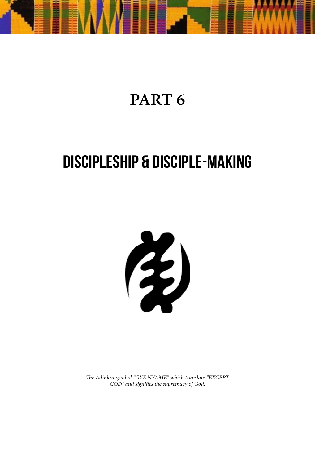

# **PART 6**

# **DISCIPLESHIP & DISCIPLE-MAKING**



*The Adinkra symbol "GYE NYAME" which translate "EXCEPT GOD" and signifies the supremacy of God.*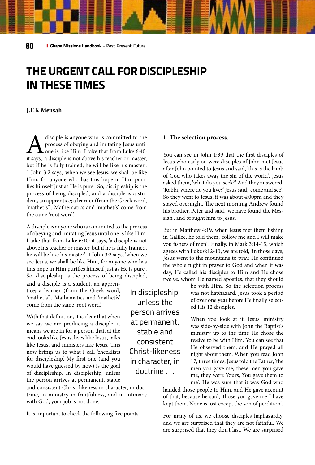## **THE URGENT CALL FOR DISCIPLESHIP IN THESE TIMES**

#### **J.F.K Mensah**

A disciple is anyone who is committed to the process of obeying and imitating Jesus until one is like Him. I take that from Luke 6:40: it says, 'a disciple is not above his teacher or master, process of obeying and imitating Jesus until one is like Him. I take that from Luke 6:40: but if he is fully trained, he will be like his master'. 1 John 3:2 says, 'when we see Jesus, we shall be like Him, for anyone who has this hope in Him purifies himself just as He is pure'. So, discipleship is the process of being discipled, and a disciple is a student, an apprentice; a learner (from the Greek word, 'mathetís'). Mathematics and 'mathetís' come from the same 'root word'.

A disciple is anyone who is committed to the process of obeying and imitating Jesus until one is like Him. I take that from Luke 6:40: it says, 'a disciple is not above his teacher or master, but if he is fully trained, he will be like his master'. 1 John 3:2 says, 'when we see Jesus, we shall be like Him, for anyone who has this hope in Him purifies himself just as He is pure'. So, discipleship is the process of being discipled,

and a disciple is a student, an apprentice; a learner (from the Greek word, 'mathetís'). Mathematics and 'mathetís' come from the same 'root word'.

With that definition, it is clear that when we say we are producing a disciple, it means we are in for a person that, at the end looks like Jesus, lives like Jesus, talks like Jesus, and ministers like Jesus. This now brings us to what I call 'checklists for discipleship'. My first one (and you would have guessed by now) is the goal of discipleship. In discipleship, unless the person arrives at permanent, stable

and consistent Christ-likeness in character, in doctrine, in ministry in fruitfulness, and in intimacy with God, your job is not done.

It is important to check the following five points.

#### **1. The selection process.**

You can see in John 1:39 that the first disciples of Jesus who early on were disciples of John met Jesus after John pointed to Jesus and said, 'this is the lamb of God who takes away the sin of the world'. Jesus asked them, 'what do you seek?' And they answered, 'Rabbi, where do you live?' Jesus said, 'come and see'. So they went to Jesus, it was about 4:00pm and they stayed overnight. The next morning Andrew found his brother, Peter and said, 'we have found the Messiah', and brought him to Jesus.

But in Matthew 4:19, when Jesus met them fishing in Galilee, he told them, 'follow me and I will make you fishers of men'. Finally, in Mark 3:14-15, which agrees with Luke 6:12-13, we are told, 'in those days, Jesus went to the mountains to pray. He continued the whole night in prayer to God and when it was day, He called his disciples to Him and He chose twelve, whom He named apostles, that they should

> be with Him'. So the selection process was not haphazard. Jesus took a period of over one year before He finally selected His 12 disciples.

> When you look at it, Jesus' ministry was side-by-side with John the Baptist's ministry up to the time He chose the twelve to be with Him. You can see that He observed them, and He prayed all night about them. When you read John 17, three times, Jesus told the Father, 'the men you gave me, these men you gave me, they were Yours, You gave them to me'. He was sure that it was God who

handed those people to Him, and He gave account of that, because he said, 'those you gave me I have kept them. None is lost except the son of perdition'.

For many of us, we choose disciples haphazardly, and we are surprised that they are not faithful. We are surprised that they don't last. We are surprised

In discipleship, unless the person arrives at permanent, stable and consistent Christ-likeness in character, in doctrine . . .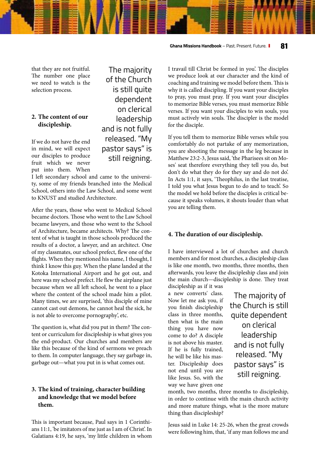that they are not fruitful. The number one place we need to watch is the selection process.

#### **2. The content of our discipleship.**

If we do not have the end in mind, we will expect our disciples to produce fruit which we never put into them. When

 The majority of the Church is still quite dependent on clerical leadership and is not fully released. "My pastor says" is still reigning.

I left secondary school and came to the university, some of my friends branched into the Medical School, others into the Law School, and some went to KNUST and studied Architecture.

After the years, those who went to Medical School became doctors. Those who went to the Law School became lawyers, and those who went to the School of Architecture, became architects. Why? The content of what is taught in those schools produced the results of a doctor, a lawyer, and an architect. One of my classmates, our school prefect, flew one of the flights. When they mentioned his name, I thought, I think I know this guy. When the plane landed at the Kotoka International Airport and he got out, and here was my school prefect. He flew the airplane just because when we all left school, he went to a place where the content of the school made him a pilot. Many times, we are surprised, 'this disciple of mine cannot cast out demons, he cannot heal the sick, he is not able to overcome pornography', etc.

The question is, what did you put in them? The content or curriculum for discipleship is what gives you the end-product. Our churches and members are like this because of the kind of sermons we preach to them. In computer language, they say garbage in, garbage out—what you put in is what comes out.

#### **3. The kind of training, character building and knowledge that we model before them.**

This is important because, Paul says in 1 Corinthians 11:1, 'be imitators of me just as I am of Christ'. In Galatians 4:19, he says, 'my little children in whom

I travail till Christ be formed in you'. The disciples we produce look at our character and the kind of coaching and training we model before them. This is why it is called discipling. If you want your disciples to pray, you must pray. If you want your disciples to memorize Bible verses, you must memorize Bible verses. If you want your disciples to win souls, you must actively win souls. The discipler is the model for the disciple.

If you tell them to memorize Bible verses while you comfortably do not partake of any memorization, you are shooting the message in the leg because in Matthew 23:2-3, Jesus said, 'the Pharisees sit on Moses' seat therefore everything they tell you do, but don't do what they do for they say and do not do'. In Acts 1:1, it says, 'Theophilus, in the last treatise, I told you what Jesus begun to do and to teach'. So the model we hold before the disciples is critical because it speaks volumes, it shouts louder than what you are telling them.

#### **4. The duration of our discipleship.**

I have interviewed a lot of churches and church members and for most churches, a discipleship class is like one month, two months, three months, then afterwards, you leave the discipleship class and join the main church—discipleship is done. They treat discipleship as if it was

a new converts' class. Now let me ask you, if you finish discipleship class in three months, then what is the main thing you have now come to do? A disciple is not above his master. If he is fully trained, he will be like his master. Discipleship does not end until you are like Jesus. So, with the way we have given one

 The majority of the Church is still quite dependent on clerical leadership and is not fully released. "My pastor says" is still reigning.

month, two months, three months to discipleship, in order to continue with the main church activity and more mature things, what is the more mature thing than discipleship?

Jesus said in Luke 14: 25-26, when the great crowds were following him, that, 'if any man follows me and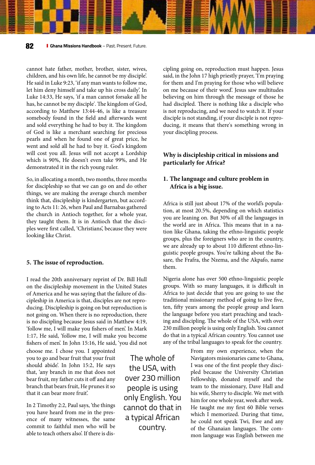cannot hate father, mother, brother, sister, wives, children, and his own life, he cannot be my disciple'. He said in Luke 9:23, 'if any man wants to follow me, let him deny himself and take up his cross daily'. In Luke 14:33, He says, 'if a man cannot forsake all he has, he cannot be my disciple'. The kingdom of God, according to Matthew 13:44-46, is like a treasure somebody found in the field and afterwards went and sold everything he had to buy it. The kingdom of God is like a merchant searching for precious pearls and when he found one of great price, he went and sold all he had to buy it. God's kingdom will cost you all. Jesus will not accept a Lordship which is 90%, He doesn't even take 99%, and He demonstrated it in the rich young ruler.

So, in allocating a month, two months, three months for discipleship so that we can go on and do other things, we are making the average church member think that, discipleship is kindergarten, but according to Acts 11: 26, when Paul and Barnabas gathered the church in Antioch together, for a whole year, they taught them. It is in Antioch that the disciples were first called, 'Christians', because they were looking like Christ.

#### **5. The issue of reproduction.**

I read the 20th anniversary reprint of Dr. Bill Hull on the discipleship movement in the United States of America and he was saying that the failure of discipleship in America is that, disciples are not reproducing. Discipleship is going on but reproduction is not going on. When there is no reproduction, there is no discipling because Jesus said in Matthew 4:19, 'follow me, I will make you fishers of men'. In Mark 1:17, He said, 'follow me, I will make you become fishers of men'. In John 15:16, He said, 'you did not

choose me. I chose you. I appointed you to go and bear fruit that your fruit should abide'. In John 15:2, He says that, 'any branch in me that does not bear fruit, my father cuts it off and any branch that bears fruit, He prunes it so that it can bear more fruit'.

In 2 Timothy 2:2, Paul says, 'the things you have heard from me in the presence of many witnesses, the same commit to faithful men who will be able to teach others also'. If there is dis-

The whole of the USA, with over 230 million people is using only English. You cannot do that in a typical African country.

cipling going on, reproduction must happen. Jesus said, in the John 17 high priestly prayer, 'I'm praying for them and I'm praying for those who will believe on me because of their word'. Jesus saw multitudes believing on him through the message of those he had discipled. There is nothing like a disciple who is not reproducing, and we need to watch it. If your disciple is not standing, if your disciple is not reproducing, it means that there's something wrong in your discipling process.

#### **Why is discipleship critical in missions and particularly for Africa?**

#### **1. The language and culture problem in Africa is a big issue.**

Africa is still just about 17% of the world's population, at most 20.5%, depending on which statistics you are leaning on. But 30% of all the languages in the world are in Africa. This means that in a nation like Ghana, taking the ethno-linguistic people groups, plus the foreigners who are in the country, we are already up to about 110 different ethno-linguistic people groups. You're talking about the Basare, the Frafra, the Nzema, and the Akpafo, name them.

Nigeria alone has over 500 ethno-linguistic people groups. With so many languages, it is difficult in Africa to just decide that you are going to use the traditional missionary method of going to live five, ten, fifty years among the people group and learn the language before you start preaching and teaching and discipling. The whole of the USA, with over 230 million people is using only English. You cannot do that in a typical African country. You cannot use any of the tribal languages to speak for the country.

> From my own experience, when the Navigators missionaries came to Ghana, I was one of the first people they discipled because the University Christian Fellowship, donated myself and the team to the missionary, Dave Hall and his wife, Sherry to disciple. We met with him for one whole year, week after week. He taught me my first 60 Bible verses which I memorized. During that time, he could not speak Twi, Ewe and any of the Ghanaian languages. The common language was English between me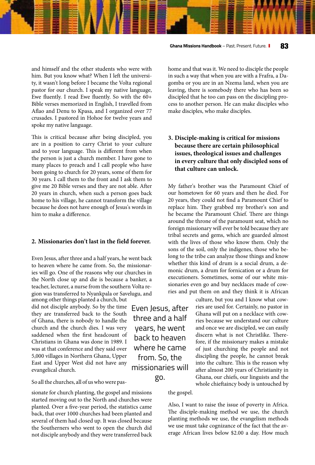#### **Ghana Missions Handbook** – Past. Present. Future. **83**

and himself and the other students who were with him. But you know what? When I left the university, it wasn't long before I became the Volta regional pastor for our church. I speak my native language, Ewe fluently. I read Ewe fluently. So with the 60+ Bible verses memorized in English, I travelled from Aflao and Denu to Kpasa, and I organized over 77 crusades. I pastored in Hohoe for twelve years and spoke my native language.

This is critical because after being discipled, you are in a position to carry Christ to your culture and to your language. This is different from when the person is just a church member. I have gone to many places to preach and I call people who have been going to church for 20 years, some of them for 30 years. I call them to the front and I ask them to give me 20 Bible verses and they are not able. After 20 years in church, when such a person goes back home to his village, he cannot transform the village because he does not have enough of Jesus's words in him to make a difference.

#### **2. Missionaries don't last in the field forever.**

Even Jesus, after three and a half years, he went back to heaven where he came from. So, the missionaries will go. One of the reasons why our churches in the North close up and die is because a banker, a teacher, lecturer, a nurse from the southern Volta region was transferred to Nyankpala or Savelugu, and

among other things planted a church, but did not disciple anybody. So by the time they are transferred back to the South of Ghana, there is nobody to handle the church and the church dies. I was very saddened when the first headcount of Christians in Ghana was done in 1989. I was at that conference and they said over 5,000 villages in Northern Ghana, Upper East and Upper West did not have any evangelical church.

So all the churches, all of us who were pas-

sionate for church planting, the gospel and missions started moving out to the North and churches were planted. Over a five-year period, the statistics came back, that over 1000 churches had been planted and several of them had closed up. It was closed because the Southerners who went to open the church did not disciple anybody and they were transferred back home and that was it. We need to disciple the people in such a way that when you are with a Frafra, a Dagomba or you are in an Nzema land, when you are leaving, there is somebody there who has been so discipled that he too can pass on the discipling process to another person. He can make disciples who make disciples, who make disciples.

#### **3. Disciple-making is critical for missions because there are certain philosophical issues, theological issues and challenges in every culture that only discipled sons of that culture can unlock.**

My father's brother was the Paramount Chief of our hometown for 60 years and then he died. For 20 years, they could not find a Paramount Chief to replace him. They grabbed my brother's son and he became the Paramount Chief. There are things around the throne of the paramount seat, which no foreign missionary will ever be told because they are tribal secrets and gems, which are guarded almost with the lives of those who know them. Only the sons of the soil, only the indigenes, those who belong to the tribe can analyze those things and know whether this kind of drum is a social drum, a demonic drum, a drum for fornication or a drum for executioners. Sometimes, some of our white missionaries even go and buy necklaces made of cowries and put them on and they think it is African

> culture, but you and I know what cowries are used for. Certainly, no pastor in Ghana will put on a necklace with cowries because we understand our culture and once we are discipled, we can easily discern what is not Christlike. Therefore, if the missionary makes a mistake of just churching the people and not discipling the people, he cannot break into the culture. This is the reason why after almost 200 years of Christianity in Ghana, our chiefs, our linguists and the whole chieftaincy body is untouched by

the gospel.

Also, I want to raise the issue of poverty in Africa. The disciple-making method we use, the church planting methods we use, the evangelism methods we use must take cognizance of the fact that the average African lives below \$2.00 a day. How much

Even Jesus, after three and a half years, he went back to heaven where he came from. So, the missionaries will go.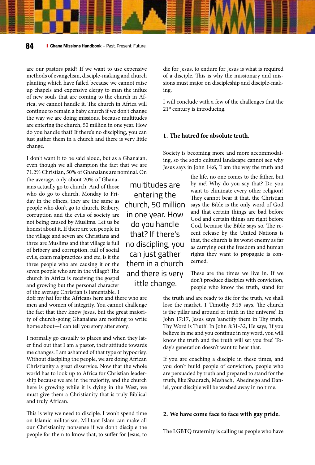are our pastors paid? If we want to use expensive methods of evangelism, disciple-making and church planting which have failed because we cannot raise up chapels and expensive clergy to man the influx of new souls that are coming to the church in Africa, we cannot handle it. The church in Africa will continue to remain a baby church if we don't change the way we are doing missions, because multitudes are entering the church, 50 million in one year. How do you handle that? If there's no discipling, you can just gather them in a church and there is very little change.

I don't want it to be said aloud, but as a Ghanaian, even though we all champion the fact that we are 71.2% Christian, 50% of Ghanaians are nominal. On the life, no one comes to the father, but

the average, only about 20% of Ghanaians actually go to church. And of those who do go to church, Monday to Friday in the offices, they are the same as people who don't go to church. Bribery, corruption and the evils of society are not being caused by Muslims. Let us be honest about it. If there are ten people in the village and seven are Christians and three are Muslims and that village is full of bribery and corruption, full of social evils, exam malpractices and etc, is it the three people who are causing it or the seven people who are in the village? The church in Africa is receiving the gospel and growing but the personal character of the average Christian is lamentable. I

doff my hat for the Africans here and there who are men and women of integrity. You cannot challenge the fact that they know Jesus, but the great majority of church-going Ghanaians are nothing to write home about—I can tell you story after story.

I normally go casually to places and when they later find out that I am a pastor, their attitude towards me changes. I am ashamed of that type of hypocrisy. Without discipling the people, we are doing African Christianity a great disservice. Now that the whole world has to look up to Africa for Christian leadership because we are in the majority, and the church here is growing while it is dying in the West, we must give them a Christianity that is truly Biblical and truly African.

This is why we need to disciple. I won't spend time on Islamic militarism. Militant Islam can make all our Christianity nonsense if we don't disciple the people for them to know that, to suffer for Jesus, to

multitudes are entering the church, 50 million in one year. How do you handle that? If there's no discipling, you can just gather them in a church and there is very little change.

die for Jesus, to endure for Jesus is what is required of a disciple. This is why the missionary and missions must major on discipleship and disciple-making.

I will conclude with a few of the challenges that the 21<sup>st</sup> century is introducing.

#### **1. The hatred for absolute truth.**

Society is becoming more and more accommodating, so the socio cultural landscape cannot see why Jesus says in John 14:6, 'I am the way the truth and

> by me'. Why do you say that? Do you want to eliminate every other religion? They cannot bear it that, the Christian says the Bible is the only word of God and that certain things are bad before God and certain things are right before God, because the Bible says so. The recent release by the United Nations is that, the church is its worst enemy as far as carrying out the freedom and human rights they want to propagate is concerned.

> These are the times we live in. If we don't produce disciples with conviction, people who know the truth, stand for

the truth and are ready to die for the truth, we shall lose the market. 1 Timothy 3:15 says, 'the church is the pillar and ground of truth in the universe'. In John 17:17, Jesus says 'sanctify them in Thy truth, Thy Word is Truth'. In John 8:31-32, He says, 'if you believe in me and you continue in my word, you will know the truth and the truth will set you free'. Today's generation doesn't want to hear that.

If you are coaching a disciple in these times, and you don't build people of conviction, people who are persuaded by truth and prepared to stand for the truth, like Shadrach, Meshach, Abednego and Daniel, your disciple will be washed away in no time.

#### **2. We have come face to face with gay pride.**

The LGBTQ fraternity is calling us people who have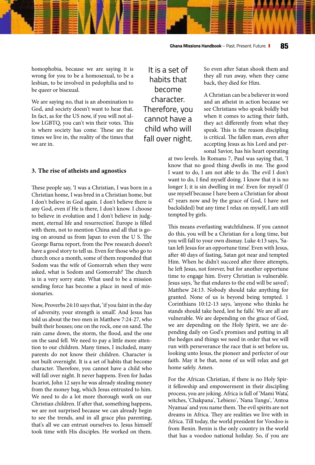homophobia, because we are saying it is wrong for you to be a homosexual, to be a lesbian, to be involved in pedophilia and to be queer or bisexual.

We are saying no, that is an abomination to God, and society doesn't want to hear that. In fact, as for the US now, if you will not allow LGBTQ, you can't win their votes. This is where society has come. These are the times we live in, the reality of the times that we are in.

#### **3. The rise of atheists and agnostics**

These people say, 'I was a Christian, I was born in a Christian home, I was bred in a Christian home, but I don't believe in God again. I don't believe there is any God, even if He is there, I don't know. I choose to believe in evolution and I don't believe in judgment, eternal life and resurrection'. Europe is filled with them, not to mention China and all that is going on around us from Japan to even the U S. The George Barna report, from the Pew research doesn't have a good story to tell us. Even for those who go to church once a month, some of them responded that Sodom was the wife of Gomorrah when they were asked, what is Sodom and Gomorrah? The church is in a very sorry state. What used to be a mission sending force has become a place in need of missionaries.

Now, Proverbs 24:10 says that, 'if you faint in the day of adversity, your strength is small'. And Jesus has told us about the two men in Matthew 7:24-27, who built their houses; one on the rock, one on sand. The rain came down, the storm, the flood, and the one on the sand fell. We need to pay a little more attention to our children. Many times, I included, many parents do not know their children. Character is not built overnight. It is a set of habits that become character. Therefore, you cannot have a child who will fall over night. It never happens. Even for Judas Iscariot, John 12 says he was already stealing money from the money bag, which Jesus entrusted to him. We need to do a lot more thorough work on our Christian children. If after that, something happens, we are not surprised because we can already begin to see the trends, and in all grace plus parenting, that's all we can entrust ourselves to. Jesus himself took time with His disciples. He worked on them.

It is a set of habits that become character. Therefore, you cannot have a child who will fall over night.

So even after Satan shook them and they all run away, when they came back, they died for Him.

A Christian can be a believer in word and an atheist in action because we see Christians who speak boldly but when it comes to acting their faith, they act differently from what they speak. This is the reason discipling is critical. The fallen man, even after accepting Jesus as his Lord and personal Savior, has his heart operating

at two levels. In Romans 7, Paul was saying that, 'I know that no good thing dwells in me. The good I want to do, I am not able to do. The evil I don't want to do, I find myself doing. I know that it is no longer I; it is sin dwelling in me'. Even for myself (I use myself because I have been a Christian for about 47 years now and by the grace of God, I have not backslided) but any time I relax on myself, I am still tempted by girls.

This means everlasting watchfulness. If you cannot do this, you will be a Christian for a long time, but you will fall to your own dismay. Luke 4:13 says, 'Satan left Jesus for an opportune time'. Even with Jesus, after 40 days of fasting, Satan got near and tempted Him. When he didn't succeed after three attempts, he left Jesus, not forever, but for another opportune time to engage him. Every Christian is vulnerable. Jesus says, 'he that endures to the end will be saved'; Matthew 24:13. Nobody should take anything for granted. None of us is beyond being tempted. 1 Corinthians 10:12-13 says, 'anyone who thinks he stands should take heed, lest he falls'. We are all are vulnerable. We are depending on the grace of God, we are depending on the Holy Spirit, we are depending daily on God's promises and putting in all the hedges and things we need in order that we will run with perseverance the race that is set before us, looking unto Jesus, the pioneer and perfecter of our faith. May it be that, none of us will relax and get home safely. Amen.

For the African Christian, if there is no Holy Spirit fellowship and empowerment in their discipling process, you are joking. Africa is full of 'Mami Wata', witches, 'Chakpana', 'Lebiezo', 'Nana Tungu', 'Antoa Nyamaa' and you name them. The evil spirits are not dreams in Africa. They are realities we live with in Africa. Till today, the world president for Voodoo is from Benin. Benin is the only country in the world that has a voodoo national holiday. So, if you are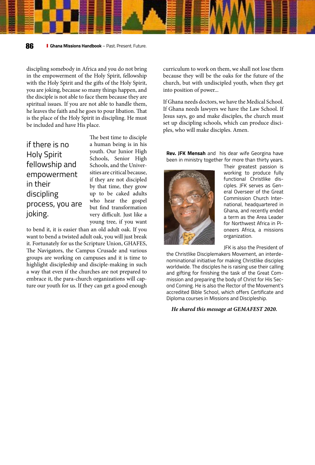discipling somebody in Africa and you do not bring in the empowerment of the Holy Spirit, fellowship with the Holy Spirit and the gifts of the Holy Spirit, you are joking, because so many things happen, and the disciple is not able to face them because they are spiritual issues. If you are not able to handle them, he leaves the faith and he goes to pour libation. That is the place of the Holy Spirit in discipling. He must be included and have His place.

| if there is no     |
|--------------------|
| <b>Holy Spirit</b> |
| fellowship and     |
| empowerment        |
| in their           |
| discipling         |
| process, you are   |
| joking.            |
|                    |

The best time to disciple a human being is in his youth. Our Junior High Schools, Senior High Schools, and the Universities are critical because, if they are not discipled by that time, they grow up to be caked adults who hear the gospel but find transformation very difficult. Just like a young tree, if you want

to bend it, it is easier than an old adult oak. If you want to bend a twisted adult oak, you will just break it. Fortunately for us the Scripture Union, GHAFES, The Navigators, the Campus Crusade and various groups are working on campuses and it is time to highlight discipleship and disciple-making in such a way that even if the churches are not prepared to embrace it, the para-church organizations will capture our youth for us. If they can get a good enough

curriculum to work on them, we shall not lose them because they will be the oaks for the future of the church, but with undiscipled youth, when they get into position of power...

If Ghana needs doctors, we have the Medical School. If Ghana needs lawyers we have the Law School. If Jesus says, go and make disciples, the church must set up discipling schools, which can produce disciples, who will make disciples. Amen.

**Rev. JFK Mensah** and his dear wife Georgina have been in ministry together for more than thirty years.



Their greatest passion is working to produce fully functional Christlike disciples. JFK serves as General Overseer of the Great Commission Church International, headquartered in Ghana, and recently ended a term as the Area Leader for Northwest Africa in Pioneers Africa, a missions organization.

JFK is also the President of

the Christlike Disciplemakers Movement, an interdenominational initiative for making Christlike disciples worldwide. The disciples he is raising use their calling and gifting for finishing the task of the Great Commission and preparing the body of Christ for His Second Coming. He is also the Rector of the Movement's accredited Bible School, which offers Certificate and Diploma courses in Missions and Discipleship.

*He shared this message at GEMAFEST 2020.*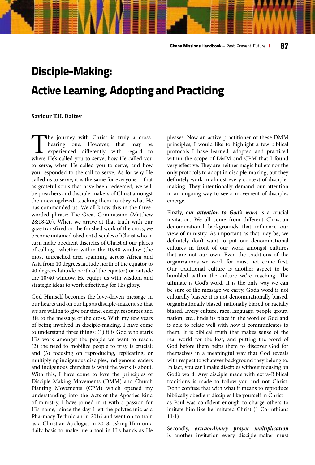## **Disciple-Making: Active Learning, Adopting and Practicing**

#### **Saviour T.H. Daitey**

The journey with Christ is truly a cross-<br>bearing one. However, that may be<br>experienced differently with regard to<br>where He's called you to serve, how He called you bearing one. However, that may be experienced differently with regard to where He's called you to serve, how He called you to serve, when He called you to serve, and how you responded to the call to serve. As for why He called us to serve, it is the same for everyone —that as grateful souls that have been redeemed, we will be preachers and disciple-makers of Christ amongst the unevangelized, teaching them to obey what He has commanded us. We all know this in the threeworded phrase: The Great Commission (Matthew 28:18-20). When we arrive at that truth with our gaze transfixed on the finished work of the cross, we become untamed obedient disciples of Christ who in turn make obedient disciples of Christ at our places of calling—whether within the 10/40 window (the most unreached area spanning across Africa and Asia from 10 degrees latitude north of the equator to 40 degrees latitude north of the equator) or outside the 10/40 window. He equips us with wisdom and strategic ideas to work effectively for His glory.

God Himself becomes the love-driven message in our hearts and on our lips as disciple-makers, so that we are willing to give our time, energy, resources and life to the message of the cross. With my few years of being involved in disciple-making, I have come to understand three things: (1) it is God who starts His work amongst the people we want to reach; (2) the need to mobilize people to pray is crucial; and (3) focusing on reproducing, replicating, or multiplying indigenous disciples, indigenous leaders and indigenous churches is what the work is about. With this, I have come to love the principles of Disciple Making Movements (DMM) and Church Planting Movements (CPM) which opened my understanding into the Acts-of-the-Apostles kind of ministry. I have joined in it with a passion for His name, since the day I left the polytechnic as a Pharmacy Technician in 2016 and went on to train as a Christian Apologist in 2018, asking Him on a daily basis to make me a tool in His hands as He pleases. Now an active practitioner of these DMM principles, I would like to highlight a few biblical protocols I have learned, adopted and practiced within the scope of DMM and CPM that I found very effective. They are neither magic bullets nor the only protocols to adopt in disciple-making, but they definitely work in almost every context of disciplemaking. They intentionally demand our attention in an ongoing way to see a movement of disciples emerge.

Firstly, *our attention to God's word* is a crucial invitation. We all come from different Christian denominational backgrounds that influence our view of ministry. As important as that may be, we definitely don't want to put our denominational cultures in front of our work amongst cultures that are not our own. Even the traditions of the organizations we work for must not come first. Our traditional culture is another aspect to be humbled within the culture we're reaching. The ultimate is God's word. It is the only way we can be sure of the message we carry. God's word is not culturally biased; it is not denominationally biased, organizationally biased, nationally biased or racially biased. Every culture, race, language, people group, nation, etc., finds its place in the word of God and is able to relate well with how it communicates to them. It is biblical truth that makes sense of the real world for the lost, and putting the word of God before them helps them to discover God for themselves in a meaningful way that God reveals with respect to whatever background they belong to. In fact, you can't make disciples without focusing on God's word. Any disciple made with extra-Biblical traditions is made to follow you and not Christ. Don't confuse that with what it means to reproduce biblically obedient disciples like yourself in Christ as Paul was confident enough to charge others to imitate him like he imitated Christ (1 Corinthians 11:1).

Secondly, *extraordinary prayer multiplication* is another invitation every disciple-maker must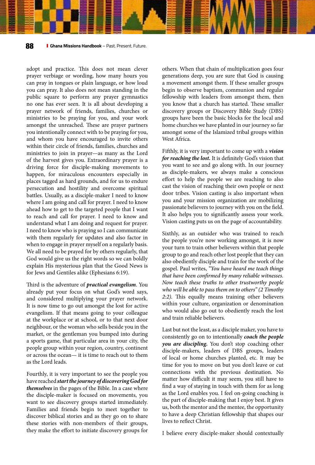adopt and practice. This does not mean clever prayer verbiage or wording, how many hours you can pray in tongues or plain language, or how loud you can pray. It also does not mean standing in the public square to perform any prayer gymnastics no one has ever seen. It is all about developing a prayer network of friends, families, churches or ministries to be praying for you, and your work amongst the unreached. These are prayer partners you intentionally connect with to be praying for you, and whom you have encouraged to invite others within their circle of friends, families, churches and ministries to join in prayer—as many as the Lord of the harvest gives you. Extraordinary prayer is a driving force for disciple-making movements to happen, for miraculous encounters especially in places tagged as hard grounds, and for us to endure persecution and hostility and overcome spiritual battles. Usually, as a disciple-maker I need to know where I am going and call for prayer. I need to know ahead how to get to the targeted people that I want to reach and call for prayer. I need to know and understand what I am doing and request for prayer. I need to know who is praying so I can communicate with them regularly for updates and also factor in when to engage in prayer myself on a regularly basis. We all need to be prayed for by others regularly, that God would give us the right words so we can boldly explain His mysterious plan that the Good News is for Jews and Gentiles alike (Ephesians 6:19).

Third is the adventure of *practical evangelism*. You already put your focus on what God's word says, and considered multiplying your prayer network. It is now time to go out amongst the lost for active evangelism. If that means going to your colleague at the workplace or at school, or to that next door neighbour, or the woman who sells beside you in the market, or the gentleman you bumped into during a sports game, that particular area in your city, the people group within your region, country, continent or across the ocean— it is time to reach out to them as the Lord leads.

Fourthly, it is very important to see the people you have reached *start the journey of discovering God for themselves* in the pages of the Bible. In a case where the disciple-maker is focused on movements, you want to see discovery groups started immediately. Families and friends begin to meet together to discover biblical stories and as they go on to share these stories with non-members of their groups, they make the effort to initiate discovery groups for

others. When that chain of multiplication goes four generations deep, you are sure that God is causing a movement amongst them. If these smaller groups begin to observe baptism, communion and regular fellowship with leaders from amongst them, then you know that a church has started. These smaller discovery groups or Discovery Bible Study (DBS) groups have been the basic blocks for the local and home churches we have planted in our journey so far amongst some of the Islamized tribal groups within West Africa.

Fifthly, it is very important to come up with a *vision for reaching the lost.* It is definitely God's vision that you want to see and go along with. In our journey as disciple-makers, we always make a conscious effort to help the people we are reaching to also cast the vision of reaching their own people or next door tribes. Vision casting is also important when you and your mission organization are mobilizing passionate believers to journey with you on the field. It also helps you to significantly assess your work. Vision casting puts us on the page of accountability.

Sixthly, as an outsider who was trained to reach the people you're now working amongst, it is now your turn to train other believers within that people group to go and reach other lost people that they can also obediently disciple and train for the work of the gospel. Paul writes, *"You have heard me teach things that have been confirmed by many reliable witnesses. Now teach these truths to other trustworthy people who will be able to pass them on to others" (2 Timothy 2:2).* This equally means training other believers within your culture, organization or denomination who would also go out to obediently reach the lost and train reliable believers.

Last but not the least, as a disciple maker, you have to consistently go on to intentionally *coach the people you are discipling.* You don't stop coaching other disciple-makers, leaders of DBS groups, leaders of local or home churches planted, etc. It may be time for you to move on but you don't leave or cut connections with the previous destination. No matter how difficult it may seem, you still have to find a way of staying in touch with them for as long as the Lord enables you. I feel on-going coaching is the part of disciple-making that I enjoy best. It gives us, both the mentor and the mentee, the opportunity to have a deep Christian fellowship that shapes our lives to reflect Christ.

I believe every disciple-maker should contextually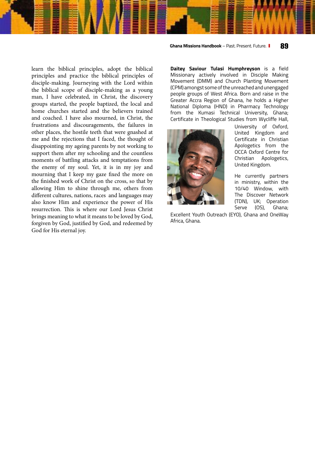learn the biblical principles, adopt the biblical principles and practice the biblical principles of disciple-making. Journeying with the Lord within the biblical scope of disciple-making as a young man, I have celebrated, in Christ, the discovery groups started, the people baptized, the local and home churches started and the believers trained and coached. I have also mourned, in Christ, the frustrations and discouragements, the failures in other places, the hostile teeth that were gnashed at me and the rejections that I faced, the thought of disappointing my ageing parents by not working to support them after my schooling and the countless moments of battling attacks and temptations from the enemy of my soul. Yet, it is in my joy and mourning that I keep my gaze fixed the more on the finished work of Christ on the cross, so that by allowing Him to shine through me, others from different cultures, nations, races and languages may also know Him and experience the power of His resurrection. This is where our Lord Jesus Christ brings meaning to what it means to be loved by God, forgiven by God, justified by God, and redeemed by God for His eternal joy.

**Ghana Missions Handbook** – Past. Present. Future. **89**

**Daitey Saviour Tulasi Humphreyson** is a field Missionary actively involved in Disciple Making Movement (DMM) and Church Planting Movement (CPM) amongst some of the unreached and unengaged people groups of West Africa. Born and raise in the Greater Accra Region of Ghana, he holds a Higher National Diploma (HND) in Pharmacy Technology from the Kumasi Technical University, Ghana; Certificate in Theological Studies from Wycliffe Hall,



University of Oxford, United Kingdom and Certificate in Christian Apologetics from the OCCA Oxford Centre for Christian Apologetics, United Kingdom.

He currently partners in ministry, within the 10/40 Window, with The Discover Network (TDN), UK; Operation Serve (OS), Ghana;

Excellent Youth Outreach (EYO), Ghana and OneWay Africa, Ghana.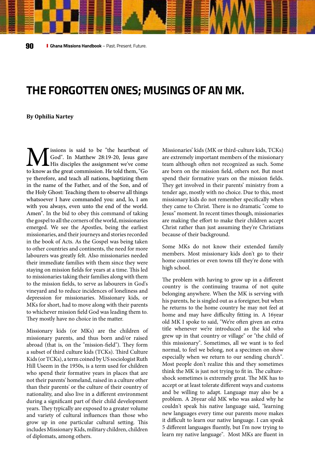### **THE FORGOTTEN ONES; MUSINGS OF AN MK.**

#### **By Ophilia Nartey**

**M** issions is said to be "the heartbeat of God". In Matthew 28:19-20, Jesus gave to know as the great commission. He told them, "Go God". In Matthew 28:19-20, Jesus gave His disciples the assignment we've come ye therefore, and teach all nations, baptizing them in the name of the Father, and of the Son, and of the Holy Ghost: Teaching them to observe all things whatsoever I have commanded you: and, lo, I am with you always, even unto the end of the world. Amen". In the bid to obey this command of taking the gospel to all the corners of the world, missionaries emerged. We see the Apostles, being the earliest missionaries, and their journeys and stories recorded in the book of Acts. As the Gospel was being taken to other countries and continents, the need for more labourers was greatly felt. Also missionaries needed their immediate families with them since they were staying on mission fields for years at a time. This led to missionaries taking their families along with them to the mission fields, to serve as labourers in God's vineyard and to reduce incidences of loneliness and depression for missionaries. Missionary kids, or MKs for short, had to move along with their parents to whichever mission field God was leading them to. They mostly have no choice in the matter.

Missionary kids (or MKs) are the children of missionary parents, and thus born and/or raised abroad (that is, on the "mission-field"). They form a subset of third culture kids (TCKs). Third Culture Kids (or TCKs), a term coined by US sociologist Ruth Hill Useem in the 1950s, is a term used for children who spend their formative years in places that are not their parents' homeland, raised in a culture other than their parents' or the culture of their country of nationality, and also live in a different environment during a significant part of their child development years. They typically are exposed to a greater volume and variety of cultural influences than those who grow up in one particular cultural setting. This includes Missionary Kids, military children, children of diplomats, among others.

Missionaries' kids (MK or third-culture kids, TCKs) are extremely important members of the missionary team although often not recognized as such. Some are born on the mission field, others not. But most spend their formative years on the mission fields. They get involved in their parents' ministry from a tender age, mostly with no choice. Due to this, most missionary kids do not remember specifically when they came to Christ. There is no dramatic "come to Jesus" moment. In recent times though, missionaries are making the effort to make their children accept Christ rather than just assuming they're Christians because of their background.

Some MKs do not know their extended family members. Most missionary kids don't go to their home countries or even towns till they're done with high school.

The problem with having to grow up in a different country is the continuing trauma of not quite belonging anywhere. When the MK is serving with his parents, he is singled out as a foreigner, but when he returns to the home country he may not feel at home and may have difficulty fitting in. A 16year old MK I spoke to said, "We're often given an extra title whenever we're introduced as the kid who grew up in that country or village" or "the child of this missionary". Sometimes, all we want is to feel normal, to feel we belong, not a specimen on show especially when we return to our sending church". Most people don't realize this and they sometimes think the MK is just not trying to fit in. The cultureshock sometimes is extremely great. The MK has to accept or at least tolerate different ways and customs and be willing to adapt. Language may also be a problem. A 26year old MK who was asked why he couldn't speak his native language said, "learning new languages every time our parents move makes it difficult to learn our native language. I can speak 5 different languages fluently, but I'm now trying to learn my native language". Most MKs are fluent in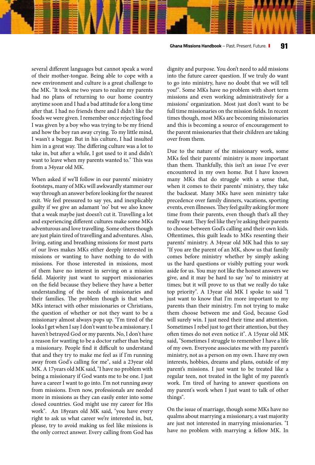**Ghana Missions Handbook** – Past. Present. Future. **91**

several different languages but cannot speak a word of their mother-tongue. Being able to cope with a new environment and culture is a great challenge to the MK. "It took me two years to realize my parents had no plans of returning to our home country anytime soon and I had a bad attitude for a long time after that. I had no friends there and I didn't like the foods we were given. I remember once rejecting food I was given by a boy who was trying to be my friend and how the boy ran away crying. To my little mind, I wasn't a beggar. But in his culture, I had insulted him in a great way. The differing culture was a lot to take in, but after a while, I got used to it and didn't want to leave when my parents wanted to." This was from a 34year old MK.

When asked if we'll follow in our parents' ministry footsteps, many of MKs will awkwardly stammer our way through an answer before looking for the nearest exit. We feel pressured to say yes, and inexplicably guilty if we give an adamant 'no' but we also know that a weak maybe just doesn't cut it. Travelling a lot and experiencing different cultures make some MKs adventurous and love travelling. Some others though are just plain tired of travelling and adventures. Also, living, eating and breathing missions for most parts of our lives makes MKs either deeply interested in missions or wanting to have nothing to do with missions. For those interested in missions, most of them have no interest in serving on a mission field. Majority just want to support missionaries on the field because they believe they have a better understanding of the needs of missionaries and their families. The problem though is that when MKs interact with other missionaries or Christians, the question of whether or not they want to be a missionary almost always pops up. "I'm tired of the looks I get when I say I don't want to be a missionary. I haven't betrayed God or my parents. No, I don't have a reason for wanting to be a doctor rather than being a missionary. People find it difficult to understand that and they try to make me feel as if I'm running away from God's calling for me", said a 23year old MK. A 17years old MK said, "I have no problem with being a missionary if God wants me to be one. I just have a career I want to go into. I'm not running away from missions. Even now, professionals are needed more in missions as they can easily enter into some closed countries. God might use my career for His work". An 18years old MK said, "you have every right to ask us what career we're interested in, but, please, try to avoid making us feel like missions is the only correct answer. Every calling from God has

dignity and purpose. You don't need to add missions into the future career question. If we truly do want to go into ministry, have no doubt that we will tell you!". Some MKs have no problem with short term missions and even working administratively for a missions' organization. Most just don't want to be full time missionaries on the mission fields. In recent times though, most MKs are becoming missionaries and this is becoming a source of encouragement to the parent missionaries that their children are taking over from them.

Due to the nature of the missionary work, some MKs feel their parents' ministry is more important than them. Thankfully, this isn't an issue I've ever encountered in my own home. But I have known many MKs that do struggle with a sense that, when it comes to their parents' ministry, they take the backseat. Many MKs have seen ministry take precedence over family dinners, vacations, sporting events, even illnesses. They feel guilty asking for more time from their parents, even though that's all they really want. They feel like they're asking their parents to choose between God's calling and their own kids. Oftentimes, this guilt leads to MKs resenting their parents' ministry. A 34year old MK had this to say "If you are the parent of an MK, show us that family comes before ministry whether by simply asking us the hard questions or visibly putting your work aside for us. You may not like the honest answers we give, and it may be hard to say 'no' to ministry at times; but it will prove to us that we really do take top priority". A 13year old MK I spoke to said "I just want to know that I'm more important to my parents than their ministry. I'm not trying to make them choose between me and God, because God will surely win. I just need their time and attention. Sometimes I rebel just to get their attention, but they often times do not even notice it". A 15year old MK said, "Sometimes I struggle to remember I have a life of my own. Everyone associates me with my parent's ministry, not as a person on my own. I have my own interests, hobbies, dreams and plans, outside of my parent's missions. I just want to be treated like a regular teen, not treated in the light of my parent's work. I'm tired of having to answer questions on my parent's work when I just want to talk of other things".

On the issue of marriage, though some MKs have no qualms about marrying a missionary, a vast majority are just not interested in marrying missionaries. "I have no problem with marrying a fellow MK. In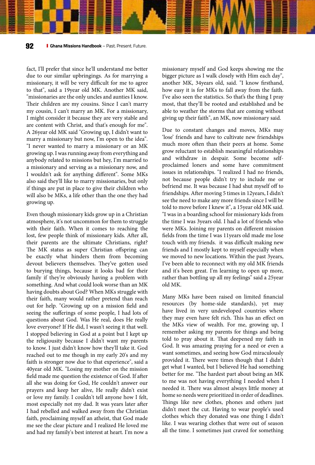fact, I'll prefer that since he'll understand me better due to our similar upbringings. As for marrying a missionary, it will be very difficult for me to agree to that", said a 19year old MK. Another MK said, "missionaries are the only uncles and aunties I know. Their children are my cousins. Since I can't marry my cousin, I can't marry an MK. For a missionary, I might consider it because they are very stable and are content with Christ, and that's enough for me". A 26year old MK said "Growing up, I didn't want to marry a missionary but now, I'm open to the idea". "I never wanted to marry a missionary or an MK growing up. I was running away from everything and anybody related to missions but hey, I'm married to a missionary and serving as a missionary now, and I wouldn't ask for anything different". Some MKs also said they'll like to marry missionaries, but only if things are put in place to give their children who will also be MKs, a life other than the one they had growing up.

Even though missionary kids grow up in a Christian atmosphere, it's not uncommon for them to struggle with their faith. When it comes to reaching the lost, few people think of missionary kids. After all, their parents are the ultimate Christians, right? The MK status as super Christian offspring can be exactly what hinders them from becoming devout believers themselves. They've gotten used to burying things, because it looks bad for their family if they're obviously having a problem with something. And what could look worse than an MK having doubts about God? When MKs struggle with their faith, many would rather pretend than reach out for help. "Growing up on a mission field and seeing the sufferings of some people, I had lots of questions about God. Was He real, does He really love everyone? If He did, I wasn't seeing it that well. I stopped believing in God at a point but I kept up the religiousity because I didn't want my parents to know. I just didn't know how they'll take it. God reached out to me though in my early 20's and my faith is stronger now due to that experience", said a 40year old MK. "Losing my mother on the mission field made me question the existence of God. If after all she was doing for God, He couldn't answer our prayers and keep her alive, He really didn't exist or love my family. I couldn't tell anyone how I felt, most especially not my dad. It was years later after I had rebelled and walked away from the Christian faith, proclaiming myself an atheist, that God made me see the clear picture and I realized He loved me and had my family's best interest at heart. I'm now a

missionary myself and God keeps showing me the bigger picture as I walk closely with Him each day", another MK, 34years old, said. "I know firsthand, how easy it is for MKs to fall away from the faith. I've also seen the statistics. So that's the thing I pray most, that they'll be rooted and established and be able to weather the storms that are coming without giving up their faith", an MK, now missionary said.

Due to constant changes and moves, MKs may 'lose' friends and have to cultivate new friendships much more often than their peers at home. Some grow reluctant to establish meaningful relationships and withdraw in despair. Some become selfproclaimed loners and some have commitment issues in relationships. "I realized I had no friends, not because people didn't try to include me or befriend me. It was because I had shut myself off to friendships. After moving 5 times in 12years, I didn't see the need to make any more friends since I will be told to move before I knew it", a 15year old MK said. "I was in a boarding school for missionary kids from the time I was 3years old. I had a lot of friends who were MKs. Joining my parents on different mission fields from the time I was 11years old made me lose touch with my friends. it was difficult making new friends and I mostly kept to myself especially when we moved to new locations. Within the past 3years, I've been able to reconnect with my old MK friends and it's been great. I'm learning to open up more, rather than bottling up all my feelings" said a 25year old MK.

Many MKs have been raised on limited financial resources (by home-side standards), yet may have lived in very undeveloped countries where they may even have felt rich. This has an effect on the MKs view of wealth. For me, growing up, I remember asking my parents for things and being told to pray about it. That deepened my faith in God. It was amazing praying for a need or even a want sometimes, and seeing how God miraculously provided it. There were times though that I didn't get what I wanted, but I believed He had something better for me. "The hardest part about being an MK to me was not having everything I needed when I needed it. There was almost always little money at home so needs were prioritized in order of deadlines. Things like new clothes, phones and others just didn't meet the cut. Having to wear people's used clothes which they donated was one thing I didn't like. I was wearing clothes that were out of season all the time. I sometimes just craved for something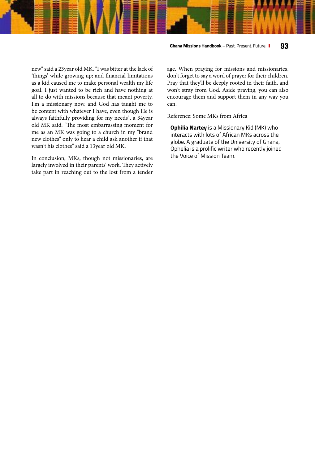#### **Ghana Missions Handbook** – Past. Present. Future. **93**

new" said a 23year old MK. "I was bitter at the lack of 'things' while growing up; and financial limitations as a kid caused me to make personal wealth my life goal. I just wanted to be rich and have nothing at all to do with missions because that meant poverty. I'm a missionary now, and God has taught me to be content with whatever I have, even though He is always faithfully providing for my needs", a 34year old MK said. "The most embarrassing moment for me as an MK was going to a church in my "brand new clothes" only to hear a child ask another if that wasn't his clothes" said a 13year old MK.

In conclusion, MKs, though not missionaries, are largely involved in their parents' work. They actively take part in reaching out to the lost from a tender age. When praying for missions and missionaries, don't forget to say a word of prayer for their children. Pray that they'll be deeply rooted in their faith, and won't stray from God. Aside praying, you can also encourage them and support them in any way you can.

Reference: Some MKs from Africa

**Ophilia Nartey** is a Missionary Kid (MK) who interacts with lots of African MKs across the globe. A graduate of the University of Ghana, Ophelia is a prolific writer who recently joined the Voice of Mission Team.